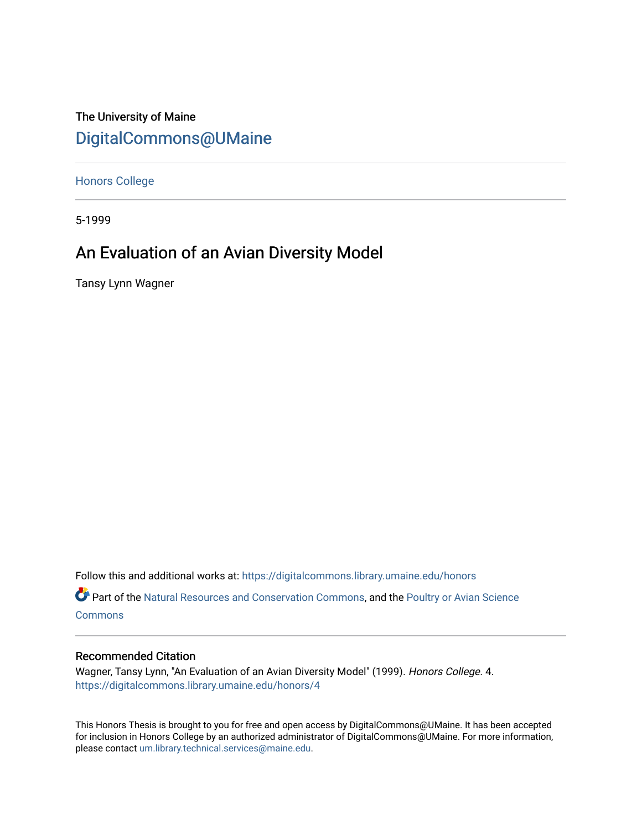# The University of Maine [DigitalCommons@UMaine](https://digitalcommons.library.umaine.edu/)

[Honors College](https://digitalcommons.library.umaine.edu/honors)

5-1999

# An Evaluation of an Avian Diversity Model

Tansy Lynn Wagner

Follow this and additional works at: [https://digitalcommons.library.umaine.edu/honors](https://digitalcommons.library.umaine.edu/honors?utm_source=digitalcommons.library.umaine.edu%2Fhonors%2F4&utm_medium=PDF&utm_campaign=PDFCoverPages) 

Part of the [Natural Resources and Conservation Commons,](http://network.bepress.com/hgg/discipline/168?utm_source=digitalcommons.library.umaine.edu%2Fhonors%2F4&utm_medium=PDF&utm_campaign=PDFCoverPages) and the [Poultry or Avian Science](http://network.bepress.com/hgg/discipline/80?utm_source=digitalcommons.library.umaine.edu%2Fhonors%2F4&utm_medium=PDF&utm_campaign=PDFCoverPages) **[Commons](http://network.bepress.com/hgg/discipline/80?utm_source=digitalcommons.library.umaine.edu%2Fhonors%2F4&utm_medium=PDF&utm_campaign=PDFCoverPages)** 

#### Recommended Citation

Wagner, Tansy Lynn, "An Evaluation of an Avian Diversity Model" (1999). Honors College. 4. [https://digitalcommons.library.umaine.edu/honors/4](https://digitalcommons.library.umaine.edu/honors/4?utm_source=digitalcommons.library.umaine.edu%2Fhonors%2F4&utm_medium=PDF&utm_campaign=PDFCoverPages)

This Honors Thesis is brought to you for free and open access by DigitalCommons@UMaine. It has been accepted for inclusion in Honors College by an authorized administrator of DigitalCommons@UMaine. For more information, please contact [um.library.technical.services@maine.edu.](mailto:um.library.technical.services@maine.edu)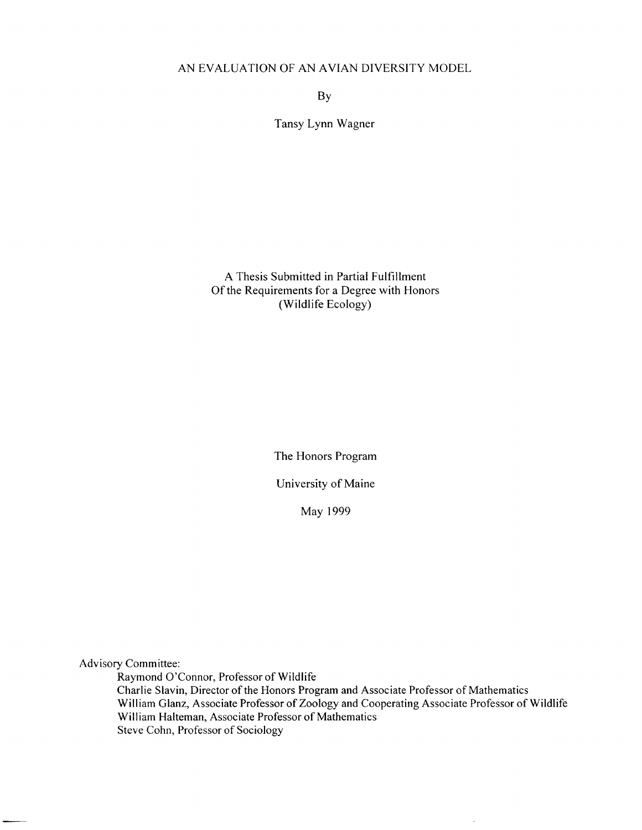## AN EVALUATION OF AN AVIAN DIVERSITY MODEL

BY

Tansy Lynn Wagner

A Thesis Submitted in Partial Fulfillment Of the Requirements for a Degree with Honors (Wildlife Ecology)

The Honors Program

University of Maine

May 1999

Advisory Committee:

Raymond 07Connor, Professor of Wildlife Charlie Slavin, Director of the Honors Program and Associate Professor of Mathematics William Glanz, Associate Professor of Zoology and Cooperating Associate Professor of Wildlife William Halteman, Associate Professor of Mathematics Steve Cohn, Professor of Sociology

 $\overline{\phantom{a}}$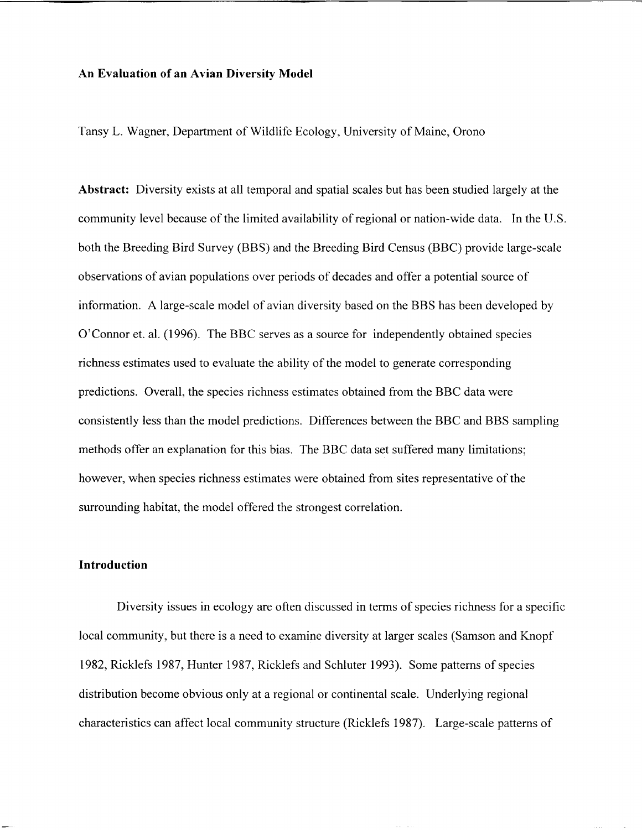#### **An Evaluation of an Avian Diversity Model**

Tansy L. Wagner, Department of Wildlife Ecology, University of Maine, Orono

**Abstract:** Diversity exists at all temporal and spatial scales but has been studied largely at the community level because of the limited availability of regional or nation-wide data. In the U.S. both the Breeding Bird Survey (BBS) and the Breeding Bird Census (BBC) provide large-scale observations of avian populations over periods of decades and offer a potential source of information. A large-scale model of avian diversity based on the BBS has been developed by O'Connor et. al. (1996). The BBC serves as a source for independently obtained species richness estimates used to evaluate the ability of the model to generate corresponding predictions. Overall, the species richness estimates obtained from the BBC data were consistently less than the model predictions. Differences between the BBC and BBS sampling methods offer an explanation for this bias. The BBC data set suffered many limitations; however, when species richness estimates were obtained from sites representative of the surrounding habitat, the model offered the strongest correlation.

### **Introduction**

Diversity issues in ecology are often discussed in terms of species richness for a specific local community, but there is a need to examine diversity at larger scales (Samson and Knopf 1982, Ricklefs 1987, Hunter 1987, Ricklefs and Schluter 1993). Some patterns of species distribution become obvious only at a regional or continental scale. Underlying regional characteristics can affect local community structure (Ricklefs 1987). Large-scale patterns of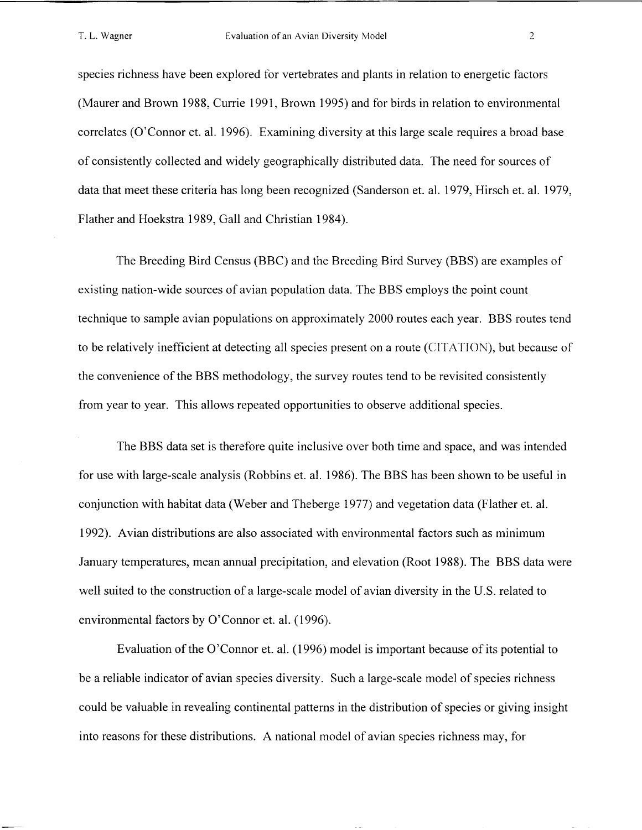species richness have been explored for vertebrates and plants in relation to energetic factors (Maurer and Brown 1988, Currie 1991, Brown 1995) and for birds in relation to environmental correlates (O'Connor et. al. 1996). Examining diversity at this large scale requires a broad base of consistently collected and widely geographically distributed data. The need for sources of data that meet these criteria has long been recognized (Sanderson et. al. 1979, Hirsch et. al. 1979, Flather and Hoekstra 1989, Gall and Christian 1984).

The Breeding Bird Census (BBC) and the Breeding Bird Survey (BBS) are examples of existing nation-wide sources of avian population data. The BBS employs the point count technique to sample avian populations on approximately 2000 routes each year. BBS routes tend to be relatively inefficient at detecting all species present on a route (CITATION), but because of the convenience of the BBS methodology, the survey routes tend to be revisited consistently from year to year. This allows repeated opportunities to observe additional species.

The BBS data set is therefore quite inclusive over both time and space, and was intended for use with large-scale analysis (Robbins et. al. 1986). The BBS has been shown to be useful in conjunction with habitat data (Weber and Theberge 1977) and vegetation data (Flather et. al. 1992). Avian distributions are also associated with environmental factors such as minimum January temperatures, mean annual precipitation, and elevation (Root 1988). The BBS data were well suited to the construction of a large-scale model of avian diversity in the U.S. related to environmental factors by O'Connor et. al. (1996).

Evaluation of the O'Connor et. al. (1996) model is important because of its potential to be a reliable indicator of avian species diversity. Such a large-scale model of species richness could be valuable in revealing continental patterns in the distribution of species or giving insight into reasons for these distributions. A national model of avian species richness may, for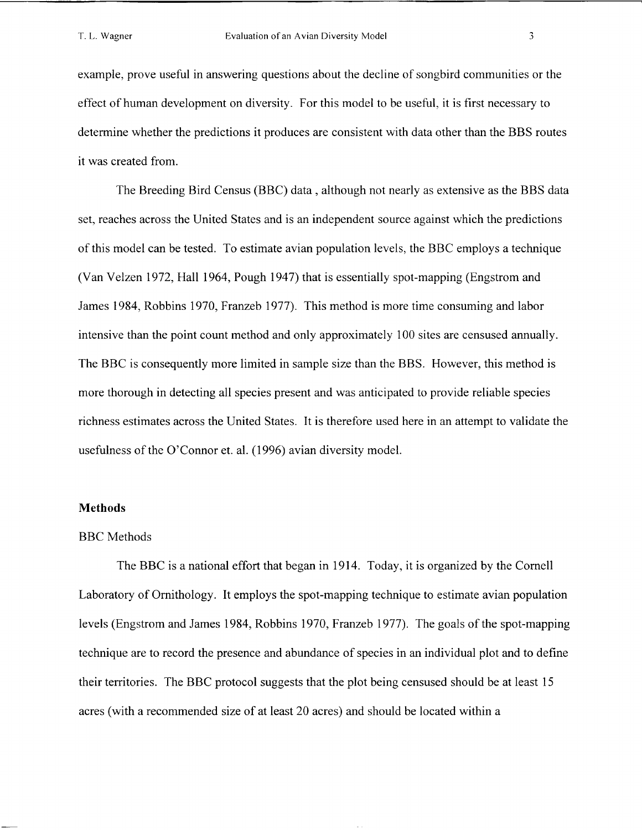example, prove useful in answering questions about the decline of songbird communities or the effect of human development on diversity. For this model to be useful, it is first necessary to determine whether the predictions it produces are consistent with data other than the BBS routes it was created from.

The Breeding Bird Census (BBC) data , although not nearly as extensive as the BBS data set, reaches across the United States and is an independent source against which the predictions of this model can be tested. To estimate avian population levels, the BBC employs a technique (Van Velzen 1972, Hall 1964, Pough 1947) that is essentially spot-mapping (Engstrom and James 1984, Robbins 1970, Franzeb 1977). This method is more time consuming and labor intensive than the point count method and only approximately 100 sites are censused annually. The BBC is consequently more limited in sample size than the BBS. However, this method is more thorough in detecting all species present and was anticipated to provide reliable species richness estimates across the United States. It is therefore used here in an attempt to validate the usefulness of the O'Connor et. al. (1996) avian diversity model.

## **Methods**

#### BBC Methods

The BBC is a national effort that began in 1914. Today, it is organized by the Cornell Laboratory of Ornithology. It employs the spot-mapping technique to estimate avian population levels (Engstrom and James 1984, Robbins 1970, Franzeb 1977). The goals of the spot-mapping technique are to record the presence and abundance of species in an individual plot and to define their territories. The BBC protocol suggests that the plot being censused should be at least 15 acres (with a recommended size of at least 20 acres) and should be located within a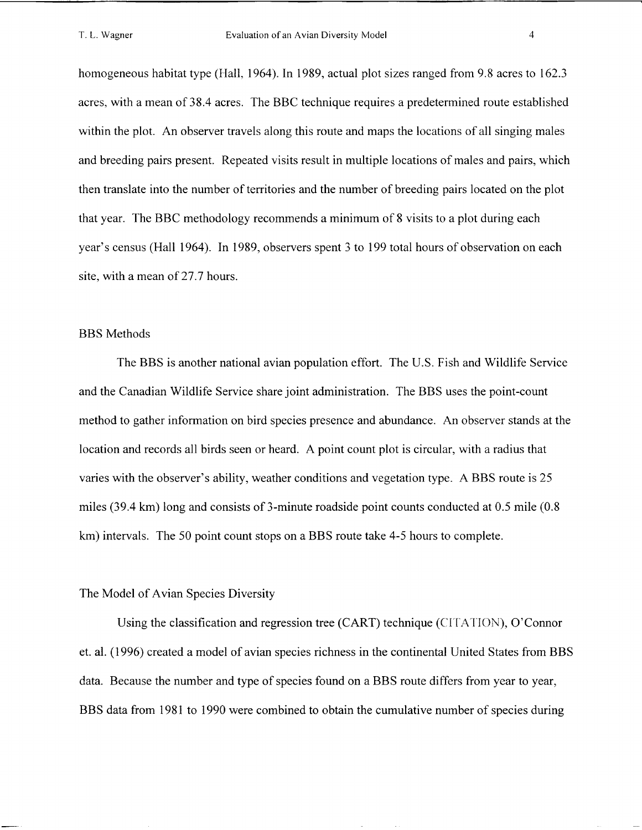homogeneous habitat type (Hall, 1964). In 1989, actual plot sizes ranged from 9.8 acres to 162.3 acres, with a mean of 38.4 acres. The BBC technique requires a predetermined route established within the plot. An observer travels along this route and maps the locations of all singing males and breeding pairs present. Repeated visits result in multiple locations of males and pairs, which then translate into the number of territories and the number of breeding pairs located on the plot that year. The BBC methodology recommends a minimum of 8 visits to a plot during each year's census (Hall 1964). In 1989, observers spent 3 to 199 total hours of observation on each site, with a mean of 27.7 hours.

#### BBS Methods

The BBS is another national avian population effort. The U.S. Fish and Wildlife Service and the Canadian Wildlife Service share joint administration. The BBS uses the point-count method to gather information on bird species presence and abundance. An observer stands at the location and records all birds seen or heard. A point count plot is circular, with a radius that varies with the observer's ability, weather conditions and vegetation type. A BBS route is 25 miles (39.4 km) long and consists of 3-minute roadside point counts conducted at 0.5 mile (0.8 **krn)** intervals. The 50 point count stops on a BBS route take 4-5 hours to complete.

#### The Model of Avian Species Diversity

Using the classification and regression tree (CART) technique (CITATION), O'Connor et. al. (1996) created a model of avian species richness in the continental United States from BBS data. Because the number and type of species found on a BBS route differs from year to year, BBS data from 1981 to 1990 were combined to obtain the cumulative number of species during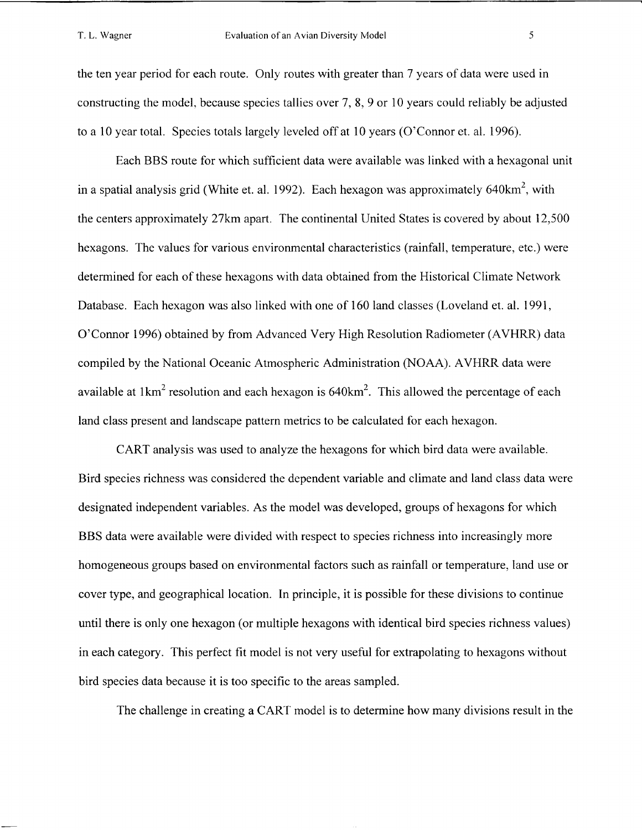the ten year period for each route. Only routes with greater than 7 years of data were used in constructing the model, because species tallies over 7, 8,9 or 10 years could reliably be adjusted to a 10 year total. Species totals largely leveled off at 10 years (O'Connor et. al. 1996).

Each BBS route for which sufficient data were available was linked with a hexagonal unit in a spatial analysis grid (White et. al. 1992). Each hexagon was approximately 640km<sup>2</sup>, with the centers approximately 27km apart. The continental United States is covered by about 12,500 hexagons. The values for various environmental characteristics (rainfall, temperature, etc.) were determined for each of these hexagons with data obtained from the Historical Climate Network Database. Each hexagon was also linked with one of 160 land classes (Loveland et. al. 1991, O'Connor 1996) obtained by from Advanced Very High Resolution Radiometer (AVHRR) data compiled by the National Oceanic Atmospheric Administration (NOAA). AVHRR data were available at  $1 \text{km}^2$  resolution and each hexagon is 640 km<sup>2</sup>. This allowed the percentage of each land class present and landscape pattern metrics to be calculated for each hexagon.

CART analysis was used to analyze the hexagons for which bird data were available. Bird species richness was considered the dependent variable and climate and land class data were designated independent variables. As the model was developed, groups of hexagons for which BBS data were available were divided with respect to species richness into increasingly more homogeneous groups based on environmental factors such as rainfall or temperature, land use or cover type, and geographical location. In principle, it is possible for these divisions to continue until there is only one hexagon (or multiple hexagons with identical bird species richness values) in each category. This perfect fit model is not very useful for extrapolating to hexagons without bird species data because it is too specific to the areas sampled.

The challenge in creating a CART model is to determine how many divisions result in the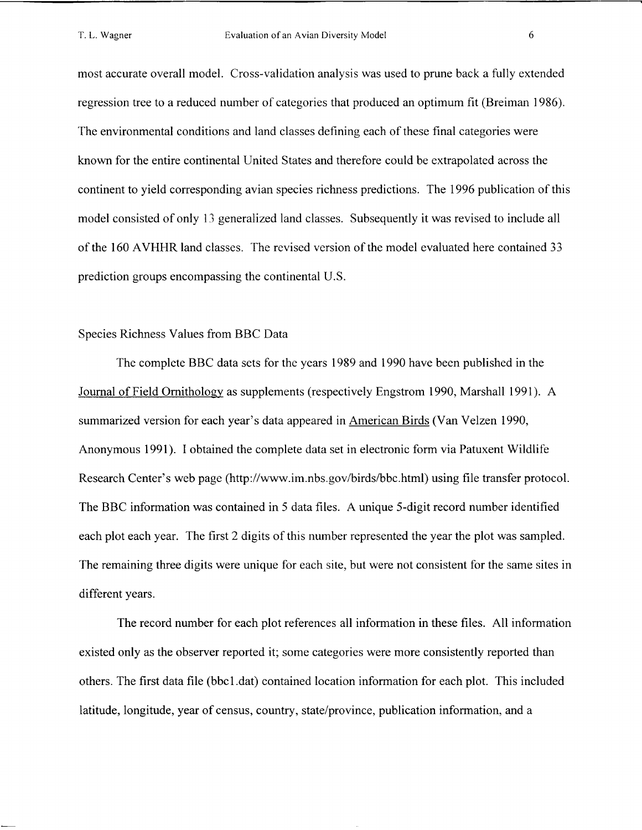most accurate overall model. Cross-validation analysis was used to prune back a fully extended regression tree to a reduced number of categories that produced an optimum fit (Breiman 1986). The environmental conditions and land classes defining each of these final categories were known for the entire continental United States and therefore could be extrapolated across the continent to yield corresponding avian species richness predictions. The 1996 publication of this model consisted of only 13 generalized land classes. Subsequently it was revised to include all of the 160 AVHHR land classes. The revised version of the model evaluated here contained 33 prediction groups encompassing the continental U.S.

#### Species Richness Values from BBC Data

The complete BBC data sets for the years 1989 and 1990 have been published in the Journal of Field Ornithology as supplements (respectively Engstrom 1990, Marshall 1991). A summarized version for each year's data appeared in American Birds (Van Velzen 1990, Anonymous 1991). I obtained the complete data set in electronic form via Patuxent Wildlife Research Center's web page (http://www.im.nbs.gov/birds/bbc.html) using file transfer protocol. The BBC information was contained in 5 data files. A unique 5-digit record number identified each plot each year. The first 2 digits of this number represented the year the plot was sampled. The remaining three digits were unique for each site, but were not consistent for the same sites in different years.

The record number for each plot references all information in these files. All information existed only as the observer reported it; some categories were more consistently reported than others. The first data file (bbcl .dat) contained location information for each plot. This included latitude, longitude, year of census, country, state/province, publication information, and a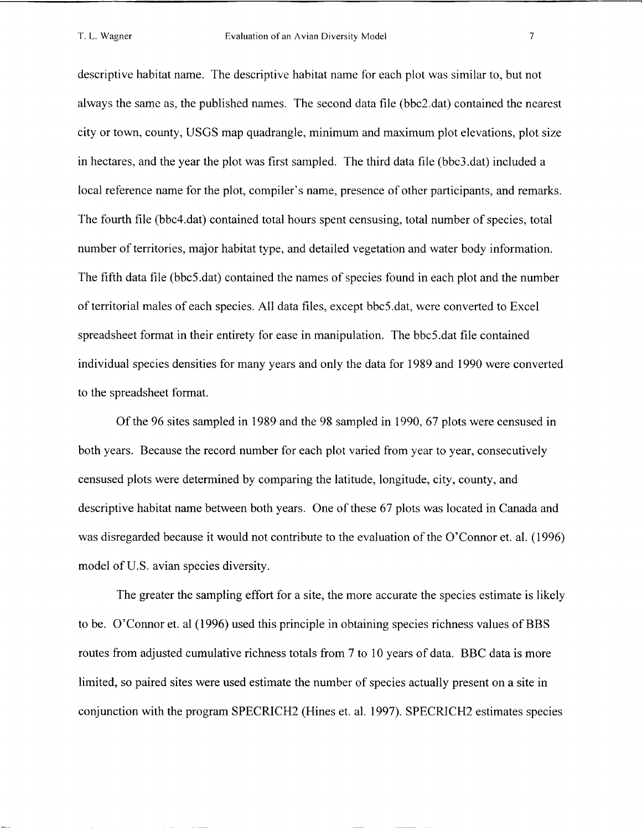descriptive habitat name. The descriptive habitat name for each plot was similar to, but not always the same as, the published names. The second data file (bbc2.dat) contained the nearest city or town, county, USGS map quadrangle, minimum and maximum plot elevations, plot size in hectares, and the year the plot was first sampled. The third data file (bbc3.dat) included a local reference name for the plot, compiler's name, presence of other participants, and remarks. The fourth file (bbc4.dat) contained total hours spent censusing, total number of species, total number of territories, major habitat type, and detailed vegetation and water body information. The fifth data file (bbc5.dat) contained the names of species found in each plot and the number of territorial males of each species. All data files, except bbc5.dat, were converted to Excel spreadsheet format in their entirety for ease in manipulation. The bbc5.dat file contained individual species densities for many years and only the data for 1989 and 1990 were converted to the spreadsheet format.

Of the 96 sites sampled in 1989 and the 98 sampled in 1990, 67 plots were censused in both years. Because the record number for each plot varied from year to year, consecutively censused plots were determined by comparing the latitude, longitude, city, county, and descriptive habitat name between both years. One of these 67 plots was located in Canada and was disregarded because it would not contribute to the evaluation of the O'Connor et. al. (1996) model of U.S. avian species diversity.

The greater the sampling effort for a site, the more accurate the species estimate is likely to be. 07Connor et. a1 (1996) used this principle in obtaining species richness values of BBS routes from adjusted cumulative richness totals from 7 to 10 years of data. BBC data is more limited, so paired sites were used estimate the number of species actually present on a site in conjunction with the program SPECRICH2 (Hines et. al. 1997). SPECRICH2 estimates species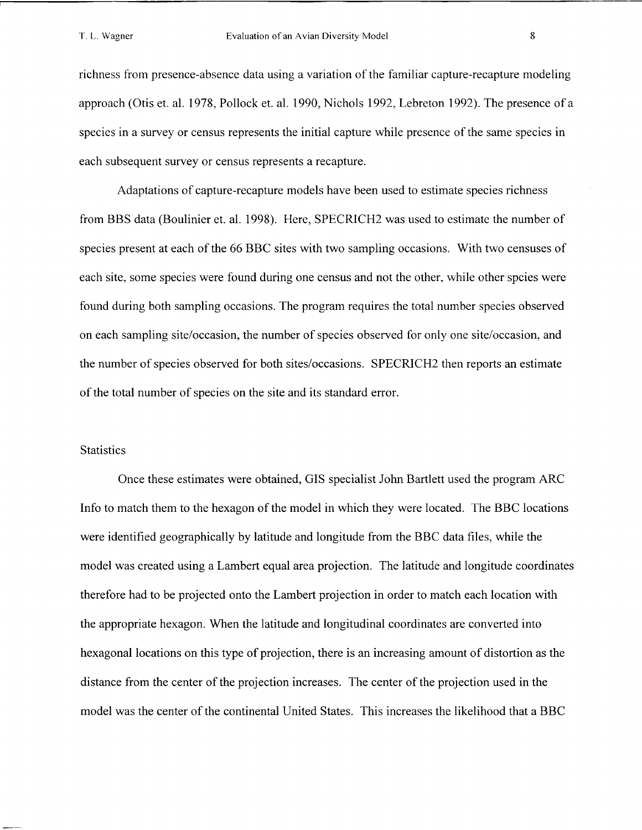richness from presence-absence data using a variation of the familiar capture-recapture modeling approach (Otis et. al. 1978, Pollock et. al. 1990, Nichols 1992, Lebreton 1992). The presence of a species in a survey or census represents the initial capture while presence of the same species in each subsequent survey or census represents a recapture.

Adaptations of capture-recapture models have been used to estimate species richness from BBS data (Boulinier et. al. 1998). Here, SPECRICH2 was used to estimate the number of species present at each of the 66 BBC sites with two sampling occasions. With two censuses of each site, some species were found during one census and not the other, while other spcies were found during both sampling occasions. The program requires the total number species observed on each sampling site/occasion, the number of species observed for only one site/occasion, and the number of species observed for both sites/occasions. SPECRICH2 then reports an estimate of the total number of species on the site and its standard error.

## **Statistics**

Once these estimates were obtained, GIs specialist John Bartlett used the program ARC Info to match them to the hexagon of the model in which they were located. The BBC locations were identified geographically by latitude and longitude from the BBC data files, while the model was created using a Lambert equal area projection. The latitude and longitude coordinates therefore had to be projected onto the Lambert projection in order to match each location with the appropriate hexagon. When the latitude and longitudinal coordinates are converted into hexagonal locations on this type of projection, there is an increasing amount of distortion as the distance from the center of the projection increases. The center of the projection used in the model was the center of the continental United States. This increases the likelihood that a BBC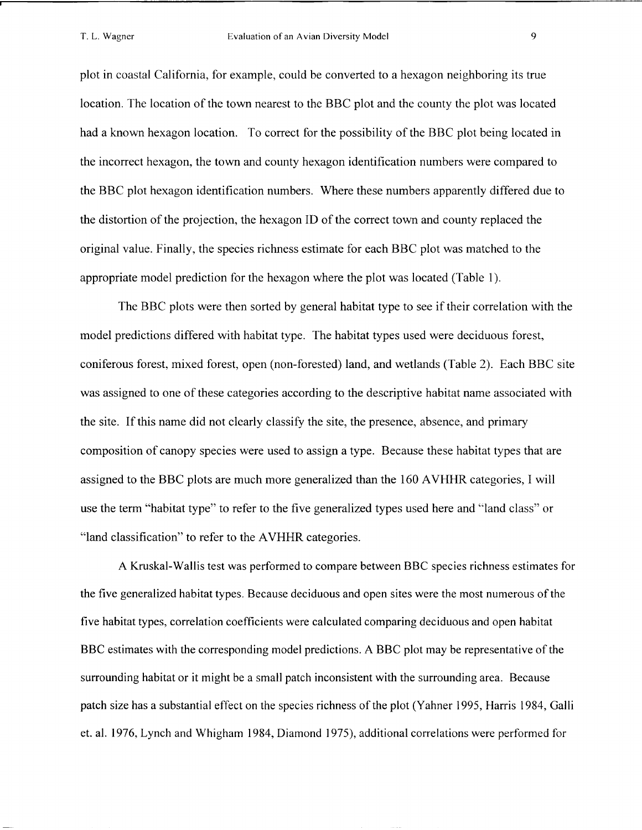plot in coastal California, for example, could be converted to a hexagon neighboring its true location. The location of the town nearest to the BBC plot and the county the plot was located had a known hexagon location. To correct for the possibility of the BBC plot being located in the incorrect hexagon, the town and county hexagon identification numbers were compared to the BBC plot hexagon identification numbers. Where these numbers apparently differed due to the distortion of the projection, the hexagon ID of the correct town and county replaced the original value. Finally, the species richness estimate for each BBC plot was matched to the appropriate model prediction for the hexagon where the plot was located (Table 1).

The BBC plots were then sorted by general habitat type to see if their correlation with the model predictions differed with habitat type. The habitat types used were deciduous forest, coniferous forest, mixed forest, open (non-forested) land, and wetlands (Table 2). Each BBC site was assigned to one of these categories according to the descriptive habitat name associated with the site. If this name did not clearly classify the site, the presence, absence, and primary composition of canopy species were used to assign a type. Because these habitat types that are assigned to the BBC plots are much more generalized than the 160 AVHHR categories, **I** will use the term "habitat type" to refer to the five generalized types used here and "land class" or "land classification" to refer to the AVHHR categories.

A Kruskal-Wallis test was performed to compare between BBC species richness estimates for the five generalized habitat types. Because deciduous and open sites were the most numerous of the five habitat types, correlation coefficients were calculated comparing deciduous and open habitat BBC estimates with the corresponding model predictions. A BBC plot may be representative of the surrounding habitat or it might be a small patch inconsistent with the surrounding area. Because patch size has a substantial effect on the species richness of the plot (Yahner 1995, Harris 1984, Galli et. al. 1976, Lynch and Whigham 1984, Diamond 1975), additional correlations were performed for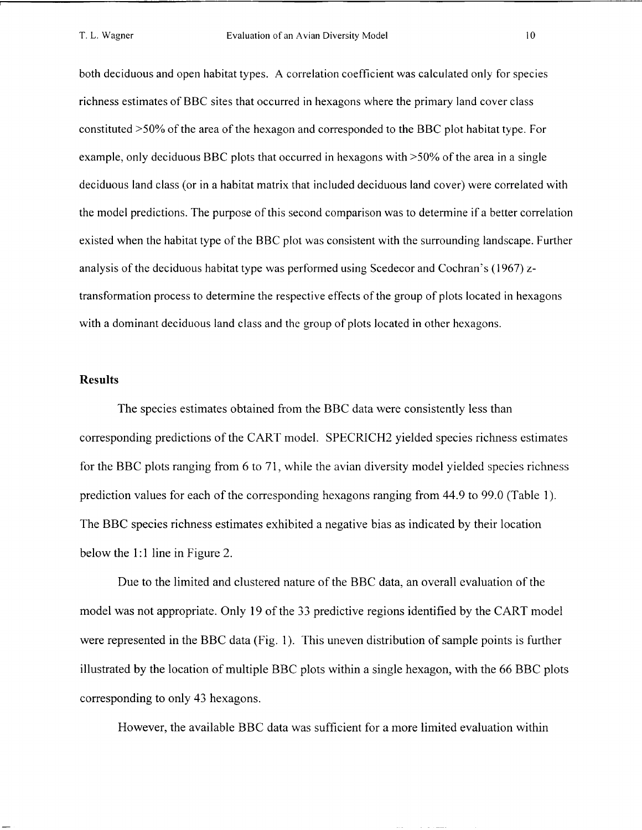both deciduous and open habitat types. A correlation coefficient was calculated only for species richness estimates of BBC sites that occurred in hexagons where the primary land cover class constituted >50% of the area of the hexagon and corresponded to the BBC plot habitat type. For example, only deciduous BBC plots that occurred in hexagons with >50% of the area in a single deciduous land class (or in a habitat matrix that included deciduous land cover) were correlated with the model predictions. The purpose of this second comparison was to determine if a better correlation existed when the habitat type of the BBC plot was consistent with the surrounding landscape. Further analysis of the deciduous habitat type was performed using Scedecor and Cochran's (1967) ztransformation process to determine the respective effects of the group of plots located in hexagons with a dominant deciduous land class and the group of plots located in other hexagons.

#### **Results**

The species estimates obtained from the BBC data were consistently less than corresponding predictions of the CART model. SPECRICH2 yielded species richness estimates for the BBC plots ranging from 6 to 71, while the avian diversity model yielded species richness prediction values for each of the corresponding hexagons ranging from 44.9 to 99.0 (Table 1). The BBC species richness estimates exhibited a negative bias as indicated by their location below the 1:1 line in Figure 2.

Due to the limited and clustered nature of the BBC data, an overall evaluation of the model was not appropriate. Only 19 of the 33 predictive regions identified by the CART model were represented in the BBC data (Fig. 1). This uneven distribution of sample points is further illustrated by the location of multiple BBC plots within a single hexagon, with the 66 BBC plots corresponding to only 43 hexagons.

However, the available BBC data was sufficient for a more limited evaluation within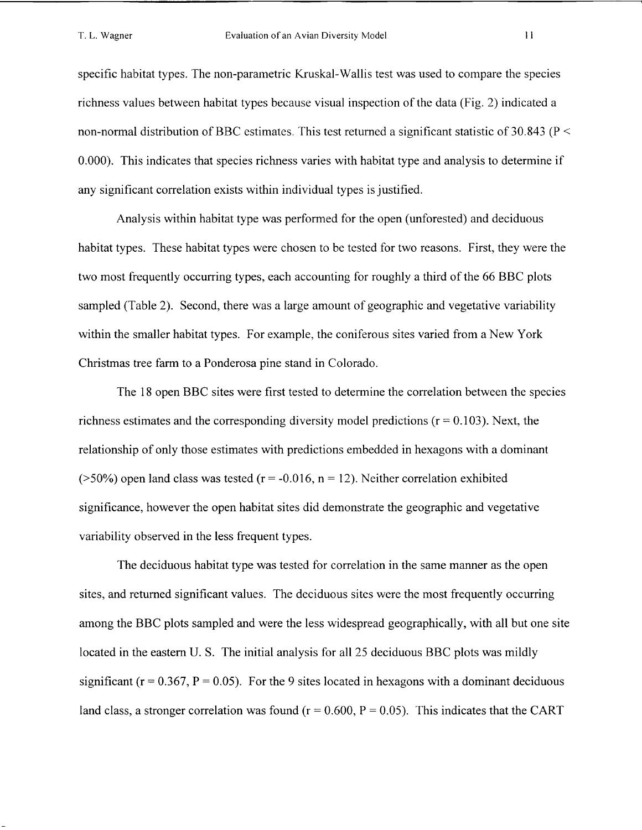specific habitat types. The non-parametric Kruskal-Wallis test was used to compare the species richness values between habitat types because visual inspection of the data (Fig. 2) indicated a non-normal distribution of BBC estimates. This test returned a significant statistic of 30.843 ( $P \leq$ 0.000). This indicates that species richness varies with habitat type and analysis to determine if any significant correlation exists within individual types is justified.

Analysis within habitat type was performed for the open (unforested) and deciduous habitat types. These habitat types were chosen to be tested for two reasons. First, they were the two most frequently occurring types, each accounting for roughly a third of the 66 BBC plots sampled (Table 2). Second, there was a large amount of geographic and vegetative variability within the smaller habitat types. For example, the coniferous sites varied from a New York Christmas tree farm to a Ponderosa pine stand in Colorado.

The 18 open BBC sites were first tested to determine the correlation between the species richness estimates and the corresponding diversity model predictions ( $r = 0.103$ ). Next, the relationship of only those estimates with predictions embedded in hexagons with a dominant ( $>50\%$ ) open land class was tested ( $r = -0.016$ ,  $n = 12$ ). Neither correlation exhibited significance, however the open habitat sites did demonstrate the geographic and vegetative variability observed in the less frequent types.

The deciduous habitat type was tested for correlation in the same manner as the open sites, and returned significant values. The deciduous sites were the most frequently occurring among the BBC plots sampled and were the less widespread geographically, with all but one site located in the eastern U. S. The initial analysis for all 25 deciduous BBC plots was mildly significant ( $r = 0.367$ ,  $P = 0.05$ ). For the 9 sites located in hexagons with a dominant deciduous land class, a stronger correlation was found ( $r = 0.600$ ,  $P = 0.05$ ). This indicates that the CART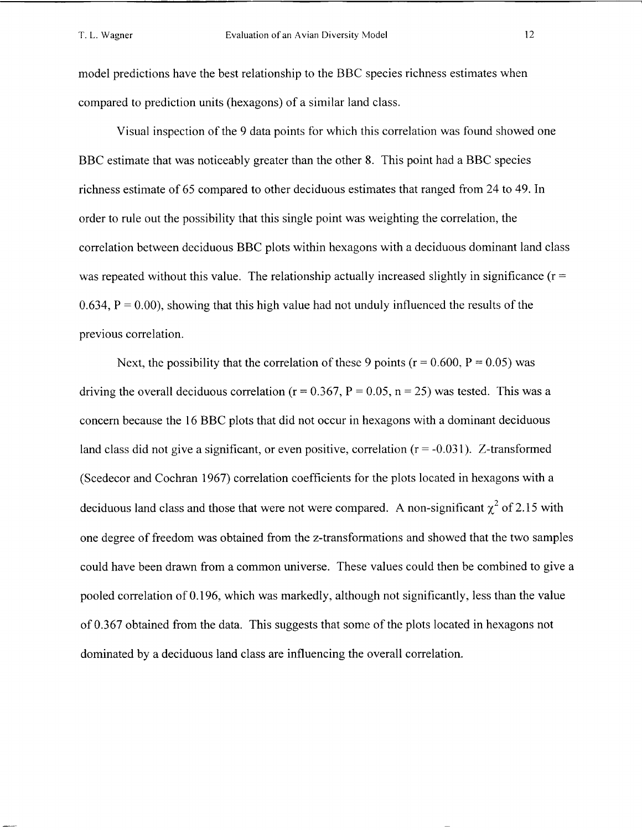model predictions have the best relationship to the BBC species richness estimates when compared to prediction units (hexagons) of a similar land class.

Visual inspection of the 9 data points for which this correlation was found showed one BBC estimate that was noticeably greater than the other 8. This point had a BBC species richness estimate of 65 compared to other deciduous estimates that ranged from 24 to 49. In order to rule out the possibility that this single point was weighting the correlation, the correlation between deciduous BBC plots within hexagons with a deciduous dominant land class was repeated without this value. The relationship actually increased slightly in significance ( $r =$ 0.634,  $P = 0.00$ ), showing that this high value had not unduly influenced the results of the previous correlation.

Next, the possibility that the correlation of these 9 points ( $r = 0.600$ ,  $P = 0.05$ ) was driving the overall deciduous correlation ( $r = 0.367$ ,  $P = 0.05$ ,  $n = 25$ ) was tested. This was a concern because the 16 BBC plots that did not occur in hexagons with a dominant deciduous land class did not give a significant, or even positive, correlation  $(r = -0.031)$ . Z-transformed (Scedecor and Cochran 1967) correlation coefficients for the plots located in hexagons with a deciduous land class and those that were not were compared. A non-significant  $\chi^2$  of 2.15 with one degree of freedom was obtained from the z-transformations and showed that the two samples could have been drawn from a common universe. These values could then be combined to give a pooled correlation of 0.196, which was markedly, although not significantly, less than the value of 0.367 obtained from the data. This suggests that some of the plots located in hexagons not dominated by a deciduous land class are influencing the overall correlation.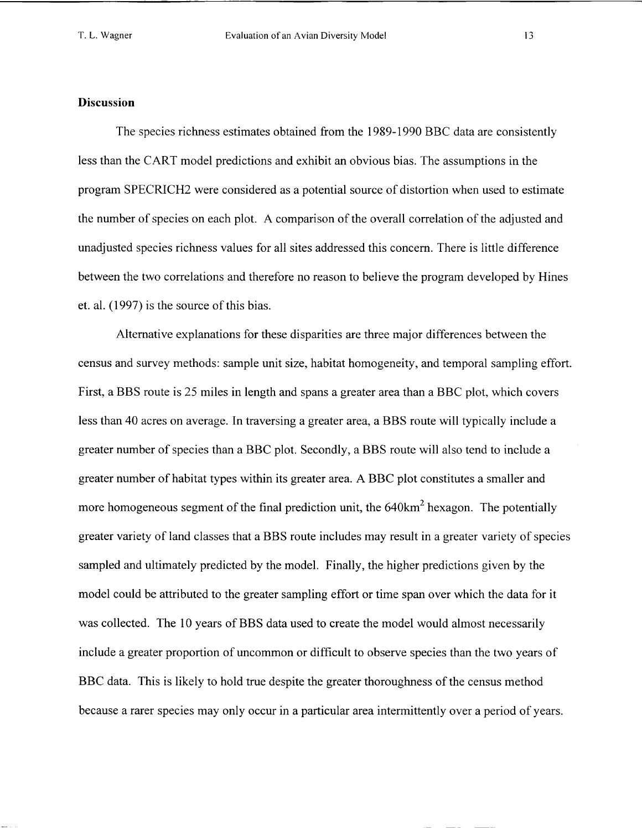#### **Discussion**

The species richness estimates obtained from the 1989-1990 BBC data are consistently less than the CART model predictions and exhibit an obvious bias. The assumptions in the program SPECRICH2 were considered as a potential source of distortion when used to estimate the number of species on each plot. A comparison of the overall correlation of the adjusted and unadjusted species richness values for all sites addressed this concern. There is little difference between the two correlations and therefore no reason to believe the program developed by Hines et. al. (1997) is the source of this bias.

Alternative explanations for these disparities are three major differences between the census and survey methods: sample unit size, habitat homogeneity, and temporal sampling effort. First, a BBS route is 25 miles in length and spans a greater area than a BBC plot, which covers less than 40 acres on average. In traversing a greater area, a BBS route will typically include a greater number of species than a BBC plot. Secondly, a BBS route will also tend to include a greater number of habitat types within its greater area. A BBC plot constitutes a smaller and more homogeneous segment of the final prediction unit, the  $640 \text{km}^2$  hexagon. The potentially greater variety of land classes that a BBS route includes may result in a greater variety of species sampled and ultimately predicted by the model. Finally, the higher predictions given by the model could be attributed to the greater sampling effort or time span over which the data for it was collected. The 10 years of BBS data used to create the model would almost necessarily include a greater proportion of uncommon or difficult to observe species than the two years of BBC data. This is likely to hold true despite the greater thoroughness of the census method because a rarer species may only occur in a particular area intermittently over a period of years.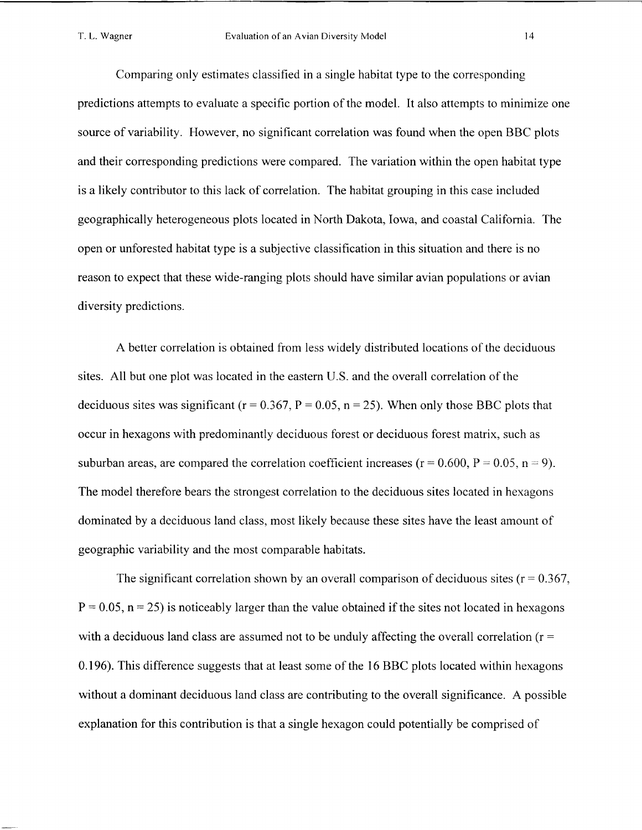Comparing only estimates classified in a single habitat type to the corresponding predictions attempts to evaluate a specific portion of the model. It also attempts to minimize one source of variability. However, no significant correlation was found when the open BBC plots and their corresponding predictions were compared. The variation within the open habitat type is a likely contributor to this lack of correlation. The habitat grouping in this case included geographically heterogeneous plots located in North Dakota, Iowa, and coastal California. The open or unforested habitat type is a subjective classification in this situation and there is no reason to expect that these wide-ranging plots should have similar avian populations or avian diversity predictions.

A better correlation is obtained from less widely distributed locations of the deciduous sites. All but one plot was located in the eastern U.S. and the overall correlation of the deciduous sites was significant ( $r = 0.367$ ,  $P = 0.05$ ,  $n = 25$ ). When only those BBC plots that occur in hexagons with predominantly deciduous forest or deciduous forest matrix, such as suburban areas, are compared the correlation coefficient increases ( $r = 0.600$ ,  $P = 0.05$ ,  $n = 9$ ). The model therefore bears the strongest correlation to the deciduous sites located in hexagons dominated by a deciduous land class, most likely because these sites have the least amount of geographic variability and the most comparable habitats.

The significant correlation shown by an overall comparison of deciduous sites ( $r = 0.367$ ,  $P = 0.05$ ,  $n = 25$ ) is noticeably larger than the value obtained if the sites not located in hexagons with a deciduous land class are assumed not to be unduly affecting the overall correlation ( $r =$ 0.196). This difference suggests that at least some of the 16 BBC plots located within hexagons without a dominant deciduous land class are contributing to the overall significance. A possible explanation for this contribution is that a single hexagon could potentially be comprised of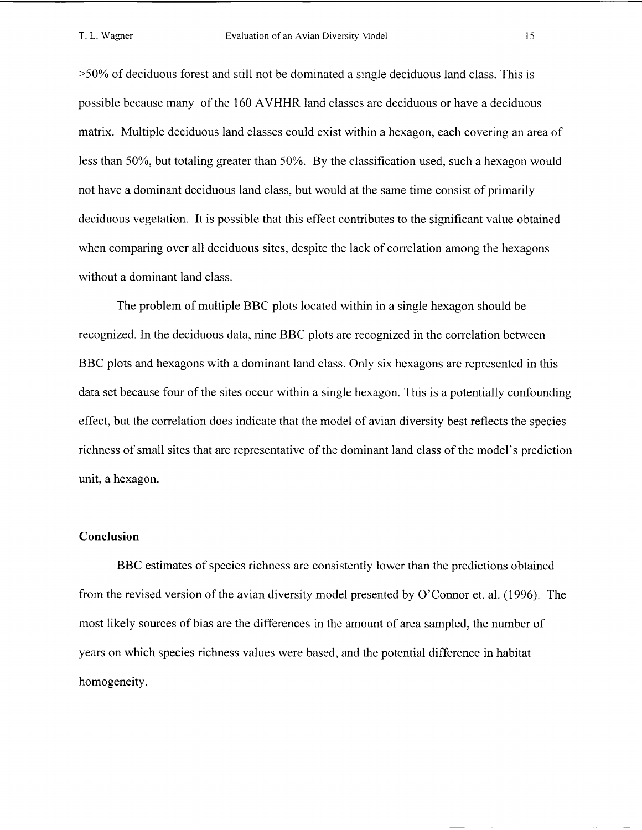>50% of deciduous forest and still not be dominated a single deciduous land class. This is possible because many of the 160 AVHHR land classes are deciduous or have a deciduous matrix. Multiple deciduous land classes could exist within a hexagon, each covering an area of less than 50%, but totaling greater than 50%. By the classification used, such a hexagon would not have a dominant deciduous land class, but would at the same time consist of primarily deciduous vegetation. It is possible that this effect contributes to the significant value obtained when comparing over all deciduous sites, despite the lack of correlation among the hexagons without a dominant land class.

The problem of multiple BBC plots located within in a single hexagon should be recognized. In the deciduous data, nine BBC plots are recognized in the correlation between BBC plots and hexagons with a dominant land class. Only six hexagons are represented in this data set because four of the sites occur within a single hexagon. This is a potentially confounding effect, but the correlation does indicate that the model of avian diversity best reflects the species richness of small sites that are representative of the dominant land class of the model's prediction unit, a hexagon.

## **Conclusion**

BBC estimates of species richness are consistently lower than the predictions obtained from the revised version of the avian diversity model presented by O'Connor et. al. (1996). The most likely sources of bias are the differences in the amount of area sampled, the number of years on which species richness values were based, and the potential difference in habitat homogeneity.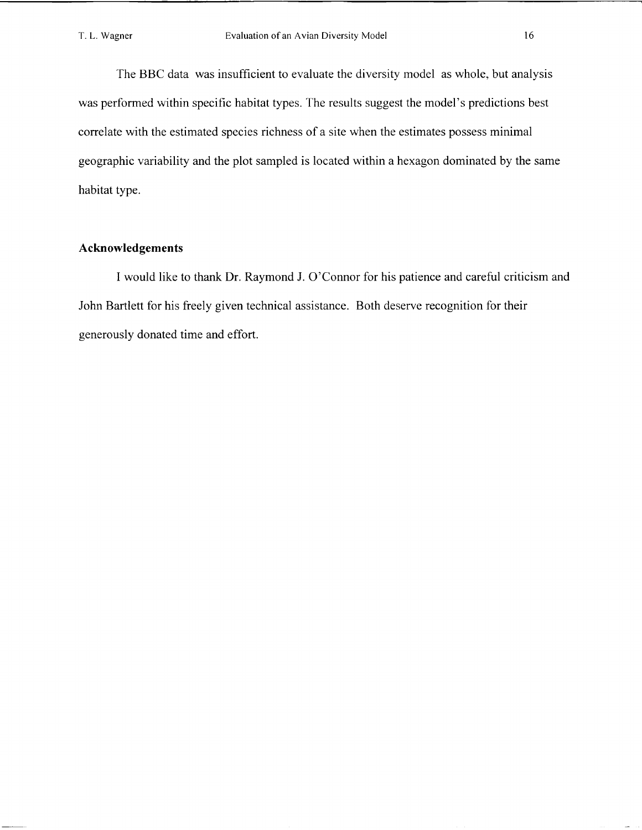The BBC data was insufficient to evaluate the diversity model as whole, but analysis was performed within specific habitat types. The results suggest the model's predictions best correlate with the estimated species richness of a site when the estimates possess minimal geographic variability and the plot sampled is located within a hexagon dominated by the same habitat type.

## **Acknowledgements**

I would like to thank Dr. Raymond J. O'Connor for his patience and careful criticism and John Bartlett for his freely given technical assistance. Both deserve recognition for their generously donated time and effort.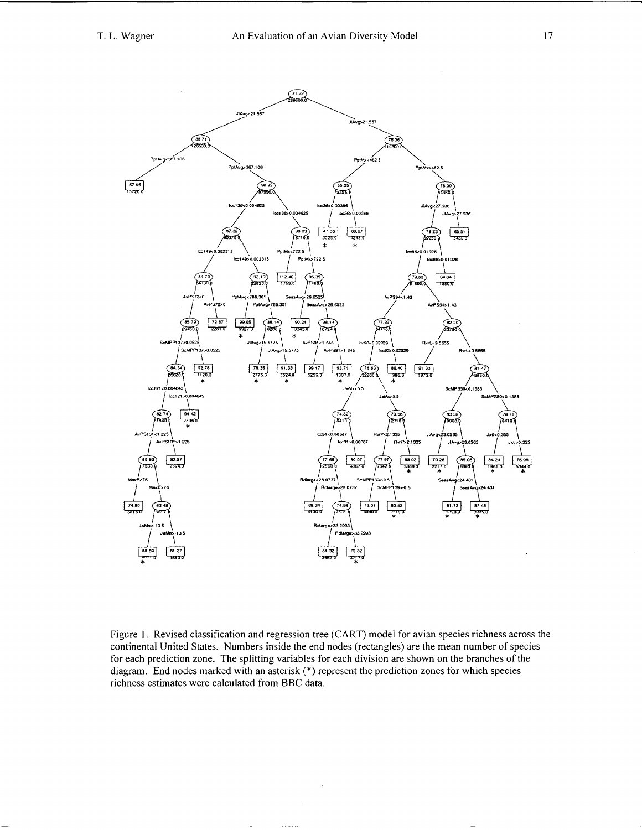

Figure 1. Revised classification and regression tree (CART) model for avian species richness across the continental United States. Numbers inside the end nodes (rectangles) are the mean number of species for each prediction zone. The splitting variables for each division are shown on the branches of the diagram. End nodes marked with an asterisk (\*) represent the prediction zones for which species richness estimates were calculated from BBC data.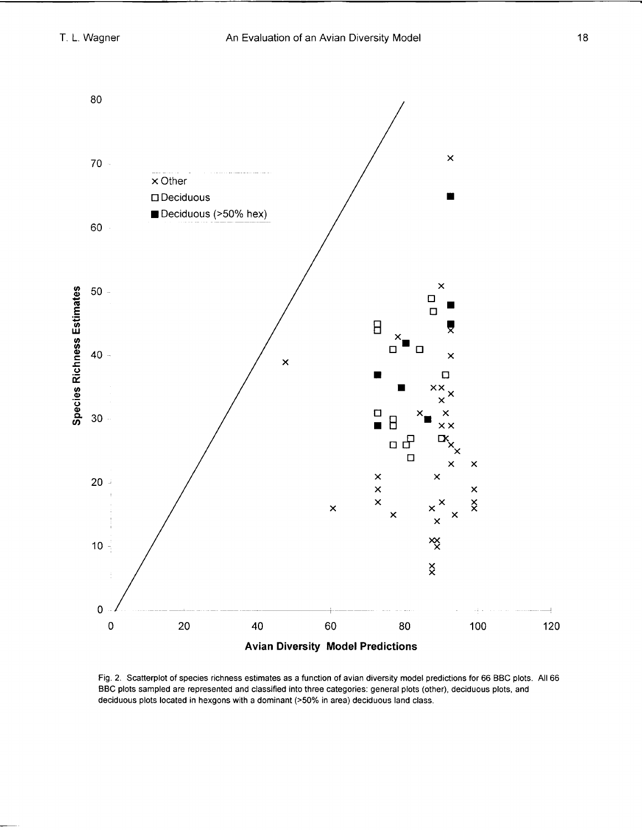

Fig. 2. Scatterplot of species richness estimates as a function of avian diversity model predictions for 66 BBC plots. All 66 BBC plots sampled are represented and classified into three categories: general plots (other), deciduous plots, and deciduous plots located in hexgons with a dominant **(>50%** in area) deciduous land class.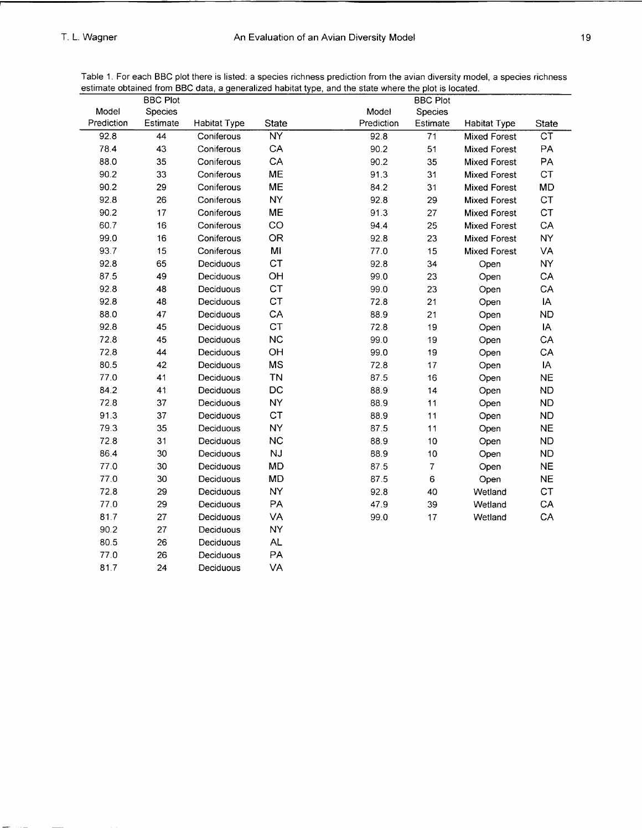|            | <b>BBC Plot</b> | esimale obtained nom DDC data, a generalized nabitat type, and the state where the piot is located. |              |            | <b>BBC Plot</b>          |                     |           |
|------------|-----------------|-----------------------------------------------------------------------------------------------------|--------------|------------|--------------------------|---------------------|-----------|
| Model      | Species         |                                                                                                     |              | Model      | Species                  |                     |           |
| Prediction | Estimate        | <b>Habitat Type</b>                                                                                 | <b>State</b> | Prediction | Estimate                 | <b>Habitat Type</b> | State     |
| 92.8       | 44              | Coniferous                                                                                          | <b>NY</b>    | 92.8       | 71                       | <b>Mixed Forest</b> | СŤ        |
| 78.4       | 43              | Coniferous                                                                                          | CA           | 90.2       | 51                       | <b>Mixed Forest</b> | PA        |
| 88.0       | 35              | Coniferous                                                                                          | CA           | 90.2       | 35                       | <b>Mixed Forest</b> | PA        |
| 90.2       | 33              | Coniferous                                                                                          | ME           | 91.3       | 31                       | <b>Mixed Forest</b> | CT        |
| 90.2       | 29              | Coniferous                                                                                          | ME           | 84.2       | 31                       | <b>Mixed Forest</b> | <b>MD</b> |
| 92.8       | 26              | Coniferous                                                                                          | <b>NY</b>    | 92.8       | 29                       | <b>Mixed Forest</b> | CT        |
| 90.2       | 17              | Coniferous                                                                                          | ME           | 91.3       | 27                       | <b>Mixed Forest</b> | CT        |
| 60.7       | 16              | Coniferous                                                                                          | CO           | 94.4       | 25                       | Mixed Forest        | CA        |
| 99.0       | 16              | Coniferous                                                                                          | <b>OR</b>    | 92.8       | 23                       | <b>Mixed Forest</b> | <b>NY</b> |
| 93.7       | 15              | Coniferous                                                                                          | MI           | 77.0       | 15                       | Mixed Forest        | VA        |
| 92.8       | 65              | Deciduous                                                                                           | <b>CT</b>    | 92.8       | 34                       | Open                | <b>NY</b> |
| 87.5       | 49              | Deciduous                                                                                           | OH           | 99.0       | 23                       | Open                | CA        |
| 92.8       | 48              | Deciduous                                                                                           | <b>CT</b>    | 99.0       | 23                       | Open                | CA        |
| 92.8       | 48              | Deciduous                                                                                           | <b>CT</b>    | 72.8       | 21                       | Open                | IA        |
| 88.0       | 47              | Deciduous                                                                                           | CA           | 88.9       | 21                       | Open                | <b>ND</b> |
| 92.8       | 45              | Deciduous                                                                                           | CT           | 72.8       | 19                       | Open                | IA        |
| 72.8       | 45              | Deciduous                                                                                           | NC           | 99.0       | 19                       | Open                | CA        |
| 72.8       | 44              | Deciduous                                                                                           | OH           | 99.0       | 19                       | Open                | CA        |
| 80.5       | 42              | Deciduous                                                                                           | MS           | 72.8       | $17\,$                   | Open                | IA        |
| 77.0       | 41              | Deciduous                                                                                           | <b>TN</b>    | 87.5       | $16\,$                   | Open                | <b>NE</b> |
| 84.2       | 41              | Deciduous                                                                                           | DC           | 88.9       | 14                       | Open                | <b>ND</b> |
| 72.8       | 37              | Deciduous                                                                                           | <b>NY</b>    | 88.9       | 11                       | Open                | <b>ND</b> |
| 91.3       | 37              | Deciduous                                                                                           | <b>CT</b>    | 88.9       | 11                       | Open                | <b>ND</b> |
| 79.3       | 35              | Deciduous                                                                                           | <b>NY</b>    | 87.5       | 11                       | Open                | <b>NE</b> |
| 72.8       | 31              | Deciduous                                                                                           | <b>NC</b>    | 88.9       | $10$                     | Open                | <b>ND</b> |
| 86.4       | 30              | Deciduous                                                                                           | <b>NJ</b>    | 88.9       | $10$                     | Open                | <b>ND</b> |
| 77.0       | 30              | Deciduous                                                                                           | MD           | 87.5       | $\overline{\mathcal{I}}$ | Open                | <b>NE</b> |
| 77.0       | 30              | Deciduous                                                                                           | MD           | 87.5       | 6                        | Open                | <b>NE</b> |
| 72.8       | 29              | Deciduous                                                                                           | <b>NY</b>    | 92.8       | 40                       | Wetland             | CT        |
| 77.0       | 29              | Deciduous                                                                                           | PA           | 47.9       | 39                       | Wetland             | CA        |
| 81.7       | 27              | Deciduous                                                                                           | VA           | 99.0       | 17                       | Wetland             | CA        |
| 90.2       | 27              | Deciduous                                                                                           | <b>NY</b>    |            |                          |                     |           |
| 80.5       | 26              | Deciduous                                                                                           | <b>AL</b>    |            |                          |                     |           |
| 77.0       | 26              | Deciduous                                                                                           | PA           |            |                          |                     |           |

Deciduous

VA

81.7

 $24$ 

Table 1. For each BBC plot there is listed: a species richness prediction from the avian diversity model, a species richness estimate obtained from BBC data, a generalized habitat type, and the state where the plot is located.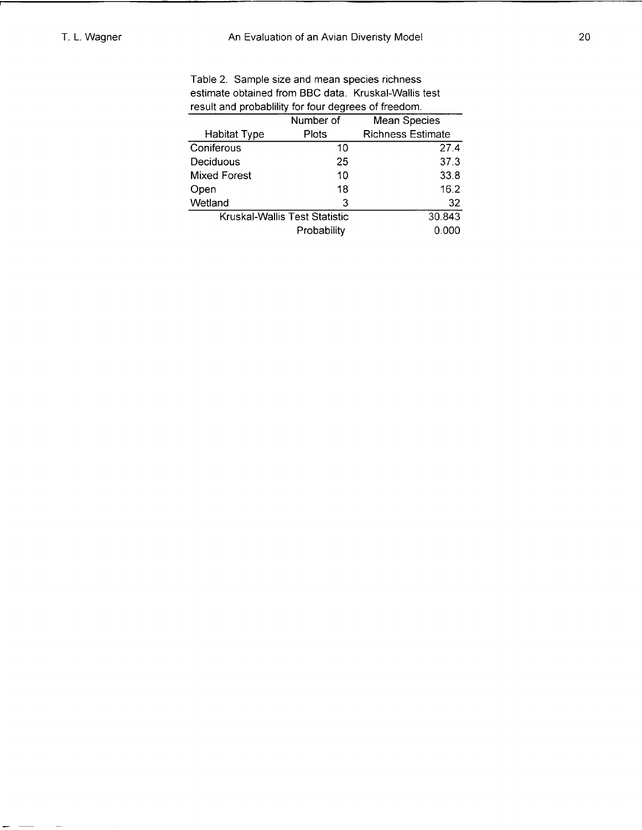$\hspace{0.1cm} \longrightarrow \hspace{0.1cm} \hspace{0.1cm} \longrightarrow \hspace{0.1cm}$ 

Table 2. Sample size and mean species richness estimate obtained from BBC data. Kruskal-Wallis test result and probablility for four degrees of freedom.

| Number of                     | <b>Mean Species</b>      |  |  |  |
|-------------------------------|--------------------------|--|--|--|
| Plots                         | <b>Richness Estimate</b> |  |  |  |
| 10                            | 27.4                     |  |  |  |
| 25                            | 37.3                     |  |  |  |
| 10                            | 33.8                     |  |  |  |
| 18                            | 16.2                     |  |  |  |
| 3                             | 32                       |  |  |  |
| Kruskal-Wallis Test Statistic |                          |  |  |  |
| Probability                   |                          |  |  |  |
|                               |                          |  |  |  |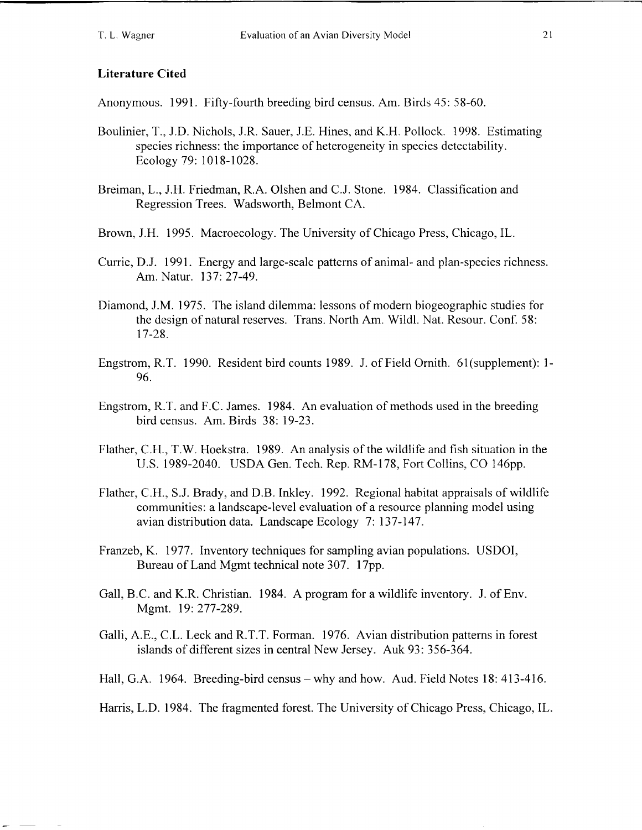#### **Literature Cited**

Anonymous. 1991. Fifty-fourth breeding bird census. Am. Birds 45: 58-60.

- Boulinier, T., J.D. Nichols, J.R. Sauer, J.E. Hines, and K.H. Pollock. 1998. Estimating species richness: the importance of heterogeneity in species detectability. Ecology 79: 1018-1028.
- Breiman, L., J.H. Friedman, R.A. Olshen and C.J. Stone. 1984. Classification and Regression Trees. Wadsworth, Belmont CA.
- Brown, J.H. 1995. Macroecology. The University of Chicago Press, Chicago, IL.
- Currie, D.J. 1991. Energy and large-scale patterns of animal- and plan-species richness. Am. Natur. 137: 27-49.
- Diamond, J.M. 1975. The island dilemma: lessons of modern biogeographic studies for the design of natural reserves. Trans. North Am. Wildl. Nat. Resour. Conf. 58: 17-28.
- Engstrom, R.T. 1990. Resident bird counts 1989. J. of Field Ornith. 61 (supplement): 1-96.
- Engstrom, R.T. and F.C. James. 1984. An evaluation of methods used in the breeding bird census. Am. Birds 38: 19-23.
- Flather, C.H., T.W. Hoekstra. 1989. An analysis of the wildlife and fish situation in the U.S. 1989-2040. USDA Gen. Tech. Rep. RM-178, Fort Collins, CO 146pp.
- Flather, C.H., S.J. Brady, and D.B. Inkley. 1992. Regional habitat appraisals of wildlife communities: a landscape-level evaluation of a resource planning model using avian distribution data. Landscape Ecology 7: 137- 147.
- Franzeb, K. 1977. Inventory techniques for sampling avian populations. USDOI, Bureau of Land Mgmt technical note 307. 17pp.
- Gall, B.C. and K.R. Christian. 1984. A program for a wildlife inventory. J. of Env. Mgmt. 19: 277-289.
- Galli, A.E., C.L. Leck and R.T.T. Forman. 1976. Avian distribution patterns in forest islands of different sizes in central New Jersey. Auk 93: 356-364.
- Hall, G.A. 1964. Breeding-bird census why and how. Aud. Field Notes 18: 413-416.

Harris, L.D. 1984. The fragmented forest. The University of Chicago Press, Chicago, IL.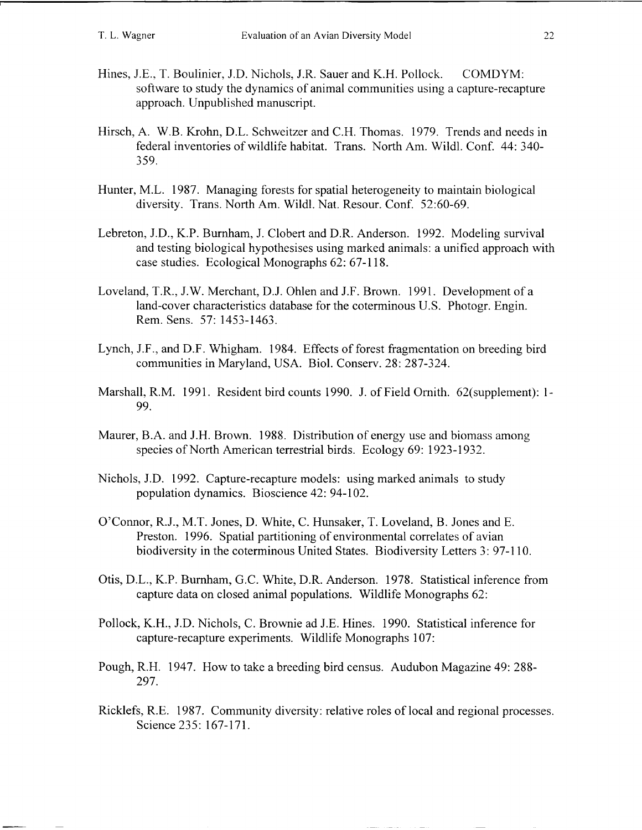- Hines, J.E., T. Boulinier, J.D. Nichols, J.R. Sauer and K.H. Pollock. COMDYM: software to study the dynamics of animal communities using a capture-recapture approach. Unpublished manuscript.
- Hirsch, A. W.B. Krohn, D.L. Schweitzer and C.H. Thomas. 1979. Trends and needs in federal inventories of wildlife habitat. Trans. North Am. Wildl. Conf. 44: 340- 359.
- Hunter, M.L. 1987. Managing forests for spatial heterogeneity to maintain biological diversity. Trans. North Am. Wildl. Nat. Resour. Conf. 52:60-69.
- Lebreton, J.D., K.P. Burnham, J. Clobert and D.R. Anderson. 1992. Modeling survival and testing biological hypothesises using marked animals: a unified approach with case studies. Ecological Monographs 62: 67-1 18.
- Loveland, T.R., J.W. Merchant, D.J. Ohlen and J.F. Brown. 1991. Development of a land-cover characteristics database for the coterminous U.S. Photogr. Engin. Rem. Sens. 57: 1453-1463.
- Lynch, J.F., and D.F. Whigham. 1984. Effects of forest fragmentation on breeding bird communities in Maryland, USA. Biol. Conserv. 28: 287-324.
- Marshall, R.M. 1991. Resident bird counts 1990. J. of Field Ornith. 62(supplement): 1-99.
- Maurer, B.A. and J.H. Brown. 1988. Distribution of energy use and biomass among species of North American terrestrial birds. Ecology 69: 1923-1932.
- Nichols, J.D. 1992. Capture-recapture models: using marked animals to study population dynamics. Bioscience 42: 94-102.
- 07Connor, R.J., M.T. Jones, D. White, C. Hunsaker, T. Loveland, B. Jones and E. Preston. 1996. Spatial partitioning of environmental correlates of avian biodiversity in the coterminous United States. Biodiversity Letters 3: 97-1 10.
- Otis, D.L., K.P. Burnham, G.C. White, D.R. Anderson. 1978. Statistical inference from capture data on closed animal populations. Wildlife Monographs 62:
- Pollock, K.H., J.D. Nichols, C. Brownie ad J.E. Hines. 1990. Statistical inference for capture-recapture experiments. Wildlife Monographs 107:
- Pough, R.H. 1947. How to take a breeding bird census. Audubon Magazine 49: 288- 297.
- Ricklefs, R.E. 1987. Community diversity: relative roles of local and regional processes. Science 235: 167-171.